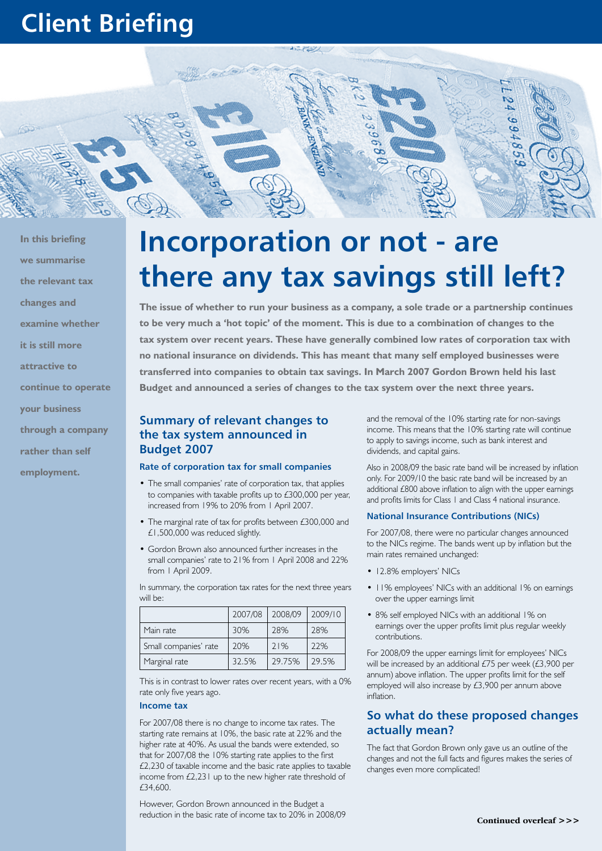## **Client Briefing**



**In this briefing we summarise the relevant tax changes and examine whether it is still more attractive to continue to operate your business through a company rather than self employment.**

# **Incorporation or not - are there any tax savings still left?**

**The issue of whether to run your business as a company, a sole trade or a partnership continues to be very much a 'hot topic' of the moment. This is due to a combination of changes to the tax system over recent years. These have generally combined low rates of corporation tax with no national insurance on dividends. This has meant that many self employed businesses were transferred into companies to obtain tax savings. In March 2007 Gordon Brown held his last Budget and announced a series of changes to the tax system over the next three years.** 

## **Summary of relevant changes to the tax system announced in Budget 2007**

#### **Rate of corporation tax for small companies**

- The small companies' rate of corporation tax, that applies to companies with taxable profits up to £300,000 per year, increased from 19% to 20% from 1 April 2007.
- The marginal rate of tax for profits between £300,000 and £1,500,000 was reduced slightly.
- • Gordon Brown also announced further increases in the small companies' rate to 21% from 1 April 2008 and 22% from 1 April 2009.

In summary, the corporation tax rates for the next three years will be:

|                       | 2007/08 | 2008/09 | 2009/10 |
|-----------------------|---------|---------|---------|
| Main rate             | 30%     | 28%     | 28%     |
| Small companies' rate | 20%     | 71%     | 22%     |
| Marginal rate         | 32.5%   | 29.75%  | 29.5%   |

This is in contrast to lower rates over recent years, with a 0% rate only five years ago.

#### **Income tax**

For 2007/08 there is no change to income tax rates. The starting rate remains at 10%, the basic rate at 22% and the higher rate at 40%. As usual the bands were extended, so that for 2007/08 the 10% starting rate applies to the first £2,230 of taxable income and the basic rate applies to taxable income from  $£2,231$  up to the new higher rate threshold of £34,600.

However, Gordon Brown announced in the Budget a reduction in the basic rate of income tax to 20% in 2008/09

and the removal of the 10% starting rate for non-savings income. This means that the 10% starting rate will continue to apply to savings income, such as bank interest and dividends, and capital gains.

Also in 2008/09 the basic rate band will be increased by inflation only. For 2009/10 the basic rate band will be increased by an additional £800 above inflation to align with the upper earnings and profits limits for Class 1 and Class 4 national insurance.

#### **National Insurance Contributions (NICs)**

For 2007/08, there were no particular changes announced to the NICs regime. The bands went up by inflation but the main rates remained unchanged:

- 12.8% employers' NICs
- 11% employees' NICs with an additional 1% on earnings over the upper earnings limit
- 8% self employed NICs with an additional 1% on earnings over the upper profits limit plus regular weekly contributions.

For 2008/09 the upper earnings limit for employees' NlCs will be increased by an additional £75 per week (£3,900 per annum) above inflation. The upper profits limit for the self employed will also increase by £3,900 per annum above inflation.

## **So what do these proposed changes actually mean?**

The fact that Gordon Brown only gave us an outline of the changes and not the full facts and figures makes the series of changes even more complicated!